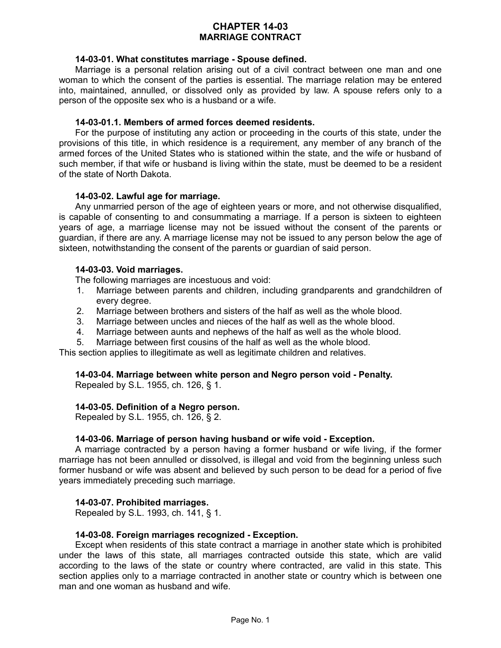# **CHAPTER 14-03 MARRIAGE CONTRACT**

### **14-03-01. What constitutes marriage - Spouse defined.**

Marriage is a personal relation arising out of a civil contract between one man and one woman to which the consent of the parties is essential. The marriage relation may be entered into, maintained, annulled, or dissolved only as provided by law. A spouse refers only to a person of the opposite sex who is a husband or a wife.

### **14-03-01.1. Members of armed forces deemed residents.**

For the purpose of instituting any action or proceeding in the courts of this state, under the provisions of this title, in which residence is a requirement, any member of any branch of the armed forces of the United States who is stationed within the state, and the wife or husband of such member, if that wife or husband is living within the state, must be deemed to be a resident of the state of North Dakota.

### **14-03-02. Lawful age for marriage.**

Any unmarried person of the age of eighteen years or more, and not otherwise disqualified, is capable of consenting to and consummating a marriage. If a person is sixteen to eighteen years of age, a marriage license may not be issued without the consent of the parents or guardian, if there are any. A marriage license may not be issued to any person below the age of sixteen, notwithstanding the consent of the parents or guardian of said person.

### **14-03-03. Void marriages.**

The following marriages are incestuous and void:

- 1. Marriage between parents and children, including grandparents and grandchildren of every degree.
- 2. Marriage between brothers and sisters of the half as well as the whole blood.
- 3. Marriage between uncles and nieces of the half as well as the whole blood.
- 4. Marriage between aunts and nephews of the half as well as the whole blood.
- 5. Marriage between first cousins of the half as well as the whole blood.

This section applies to illegitimate as well as legitimate children and relatives.

#### **14-03-04. Marriage between white person and Negro person void - Penalty.**

Repealed by S.L. 1955, ch. 126, § 1.

#### **14-03-05. Definition of a Negro person.**

Repealed by S.L. 1955, ch. 126, § 2.

#### **14-03-06. Marriage of person having husband or wife void - Exception.**

A marriage contracted by a person having a former husband or wife living, if the former marriage has not been annulled or dissolved, is illegal and void from the beginning unless such former husband or wife was absent and believed by such person to be dead for a period of five years immediately preceding such marriage.

#### **14-03-07. Prohibited marriages.**

Repealed by S.L. 1993, ch. 141, § 1.

### **14-03-08. Foreign marriages recognized - Exception.**

Except when residents of this state contract a marriage in another state which is prohibited under the laws of this state, all marriages contracted outside this state, which are valid according to the laws of the state or country where contracted, are valid in this state. This section applies only to a marriage contracted in another state or country which is between one man and one woman as husband and wife.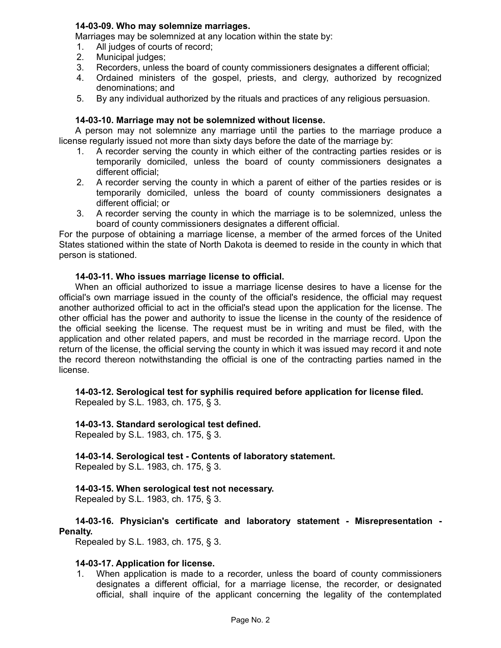# **14-03-09. Who may solemnize marriages.**

Marriages may be solemnized at any location within the state by:

- 1. All judges of courts of record;
- 2. Municipal judges;
- 3. Recorders, unless the board of county commissioners designates a different official;
- 4. Ordained ministers of the gospel, priests, and clergy, authorized by recognized denominations; and
- 5. By any individual authorized by the rituals and practices of any religious persuasion.

# **14-03-10. Marriage may not be solemnized without license.**

A person may not solemnize any marriage until the parties to the marriage produce a license regularly issued not more than sixty days before the date of the marriage by:

- 1. A recorder serving the county in which either of the contracting parties resides or is temporarily domiciled, unless the board of county commissioners designates a different official;
- 2. A recorder serving the county in which a parent of either of the parties resides or is temporarily domiciled, unless the board of county commissioners designates a different official; or
- 3. A recorder serving the county in which the marriage is to be solemnized, unless the board of county commissioners designates a different official.

For the purpose of obtaining a marriage license, a member of the armed forces of the United States stationed within the state of North Dakota is deemed to reside in the county in which that person is stationed.

### **14-03-11. Who issues marriage license to official.**

When an official authorized to issue a marriage license desires to have a license for the official's own marriage issued in the county of the official's residence, the official may request another authorized official to act in the official's stead upon the application for the license. The other official has the power and authority to issue the license in the county of the residence of the official seeking the license. The request must be in writing and must be filed, with the application and other related papers, and must be recorded in the marriage record. Upon the return of the license, the official serving the county in which it was issued may record it and note the record thereon notwithstanding the official is one of the contracting parties named in the license.

**14-03-12. Serological test for syphilis required before application for license filed.** Repealed by S.L. 1983, ch. 175, § 3.

# **14-03-13. Standard serological test defined.**

Repealed by S.L. 1983, ch. 175, § 3.

# **14-03-14. Serological test - Contents of laboratory statement.**

Repealed by S.L. 1983, ch. 175, § 3.

# **14-03-15. When serological test not necessary.**

Repealed by S.L. 1983, ch. 175, § 3.

# **14-03-16. Physician's certificate and laboratory statement - Misrepresentation - Penalty.**

Repealed by S.L. 1983, ch. 175, § 3.

# **14-03-17. Application for license.**

1. When application is made to a recorder, unless the board of county commissioners designates a different official, for a marriage license, the recorder, or designated official, shall inquire of the applicant concerning the legality of the contemplated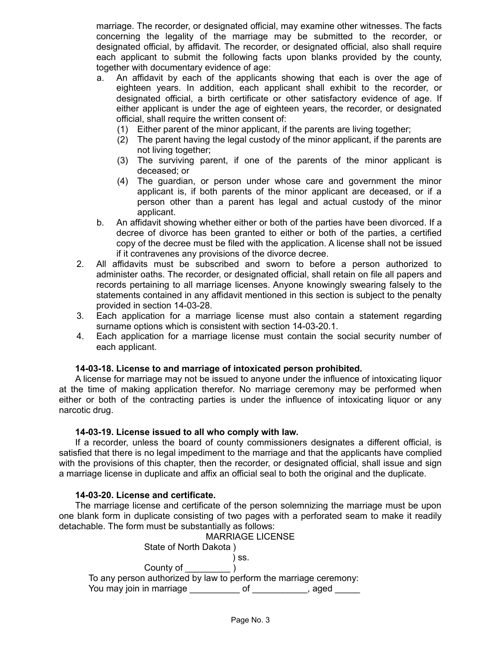marriage. The recorder, or designated official, may examine other witnesses. The facts concerning the legality of the marriage may be submitted to the recorder, or designated official, by affidavit. The recorder, or designated official, also shall require each applicant to submit the following facts upon blanks provided by the county, together with documentary evidence of age:

- a. An affidavit by each of the applicants showing that each is over the age of eighteen years. In addition, each applicant shall exhibit to the recorder, or designated official, a birth certificate or other satisfactory evidence of age. If either applicant is under the age of eighteen years, the recorder, or designated official, shall require the written consent of:
	- (1) Either parent of the minor applicant, if the parents are living together;
	- (2) The parent having the legal custody of the minor applicant, if the parents are not living together;
	- (3) The surviving parent, if one of the parents of the minor applicant is deceased; or
	- (4) The guardian, or person under whose care and government the minor applicant is, if both parents of the minor applicant are deceased, or if a person other than a parent has legal and actual custody of the minor applicant.
- b. An affidavit showing whether either or both of the parties have been divorced. If a decree of divorce has been granted to either or both of the parties, a certified copy of the decree must be filed with the application. A license shall not be issued if it contravenes any provisions of the divorce decree.
- 2. All affidavits must be subscribed and sworn to before a person authorized to administer oaths. The recorder, or designated official, shall retain on file all papers and records pertaining to all marriage licenses. Anyone knowingly swearing falsely to the statements contained in any affidavit mentioned in this section is subject to the penalty provided in section 14-03-28.
- 3. Each application for a marriage license must also contain a statement regarding surname options which is consistent with section 14-03-20.1.
- 4. Each application for a marriage license must contain the social security number of each applicant.

#### **14-03-18. License to and marriage of intoxicated person prohibited.**

A license for marriage may not be issued to anyone under the influence of intoxicating liquor at the time of making application therefor. No marriage ceremony may be performed when either or both of the contracting parties is under the influence of intoxicating liquor or any narcotic drug.

#### **14-03-19. License issued to all who comply with law.**

If a recorder, unless the board of county commissioners designates a different official, is satisfied that there is no legal impediment to the marriage and that the applicants have complied with the provisions of this chapter, then the recorder, or designated official, shall issue and sign a marriage license in duplicate and affix an official seal to both the original and the duplicate.

#### **14-03-20. License and certificate.**

The marriage license and certificate of the person solemnizing the marriage must be upon one blank form in duplicate consisting of two pages with a perforated seam to make it readily detachable. The form must be substantially as follows:

MARRIAGE LICENSE State of North Dakota ) ) ss. County of  $\qquad \qquad$  ) To any person authorized by law to perform the marriage ceremony: You may join in marriage entity of the state of the state and state and state of the state of the state of the state of the state of the state of the state of the state of the state of the state of the state of the state o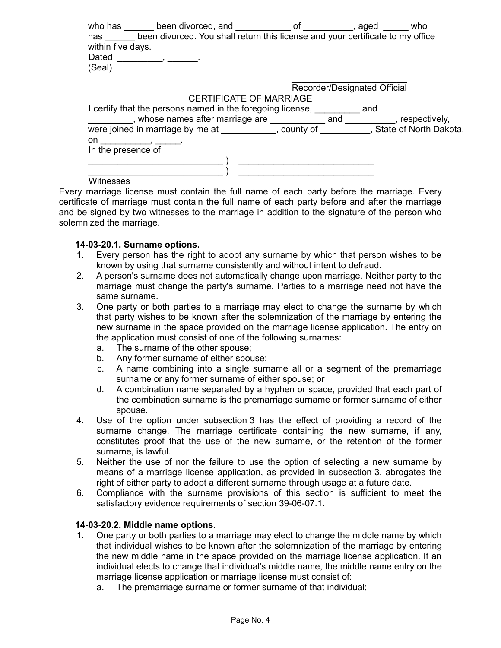| has<br>within five days.<br>Dated<br>(Seal) | who has been divorced, and of of<br>been divorced. You shall return this license and your certificate to my office |  | , aged | who |
|---------------------------------------------|--------------------------------------------------------------------------------------------------------------------|--|--------|-----|
|                                             | Recorder/Designated Official                                                                                       |  |        |     |
|                                             | <b>CERTIFICATE OF MARRIAGE</b>                                                                                     |  |        |     |
|                                             | I certify that the persons named in the foregoing license,                                                         |  | and    |     |
|                                             | ___, whose names after marriage are _____________ and __________, respectively,                                    |  |        |     |
|                                             | were joined in marriage by me at ____________, county of __________, State of North Dakota,                        |  |        |     |
| on                                          |                                                                                                                    |  |        |     |
| In the presence of                          |                                                                                                                    |  |        |     |
|                                             |                                                                                                                    |  |        |     |
|                                             |                                                                                                                    |  |        |     |
|                                             |                                                                                                                    |  |        |     |

**Witnesses** 

Every marriage license must contain the full name of each party before the marriage. Every certificate of marriage must contain the full name of each party before and after the marriage and be signed by two witnesses to the marriage in addition to the signature of the person who solemnized the marriage.

### **14-03-20.1. Surname options.**

- 1. Every person has the right to adopt any surname by which that person wishes to be known by using that surname consistently and without intent to defraud.
- 2. A person's surname does not automatically change upon marriage. Neither party to the marriage must change the party's surname. Parties to a marriage need not have the same surname.
- 3. One party or both parties to a marriage may elect to change the surname by which that party wishes to be known after the solemnization of the marriage by entering the new surname in the space provided on the marriage license application. The entry on the application must consist of one of the following surnames:
	- a. The surname of the other spouse;
	- b. Any former surname of either spouse;
	- c. A name combining into a single surname all or a segment of the premarriage surname or any former surname of either spouse; or
	- d. A combination name separated by a hyphen or space, provided that each part of the combination surname is the premarriage surname or former surname of either spouse.
- 4. Use of the option under subsection 3 has the effect of providing a record of the surname change. The marriage certificate containing the new surname, if any, constitutes proof that the use of the new surname, or the retention of the former surname, is lawful.
- 5. Neither the use of nor the failure to use the option of selecting a new surname by means of a marriage license application, as provided in subsection 3, abrogates the right of either party to adopt a different surname through usage at a future date.
- 6. Compliance with the surname provisions of this section is sufficient to meet the satisfactory evidence requirements of section 39-06-07.1.

#### **14-03-20.2. Middle name options.**

- 1. One party or both parties to a marriage may elect to change the middle name by which that individual wishes to be known after the solemnization of the marriage by entering the new middle name in the space provided on the marriage license application. If an individual elects to change that individual's middle name, the middle name entry on the marriage license application or marriage license must consist of:
	- a. The premarriage surname or former surname of that individual;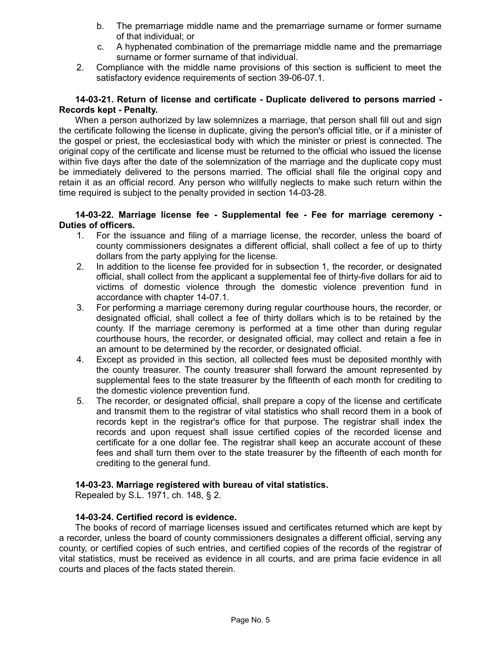- b. The premarriage middle name and the premarriage surname or former surname of that individual; or
- c. A hyphenated combination of the premarriage middle name and the premarriage surname or former surname of that individual.
- 2. Compliance with the middle name provisions of this section is sufficient to meet the satisfactory evidence requirements of section 39-06-07.1.

### **14-03-21. Return of license and certificate - Duplicate delivered to persons married - Records kept - Penalty.**

When a person authorized by law solemnizes a marriage, that person shall fill out and sign the certificate following the license in duplicate, giving the person's official title, or if a minister of the gospel or priest, the ecclesiastical body with which the minister or priest is connected. The original copy of the certificate and license must be returned to the official who issued the license within five days after the date of the solemnization of the marriage and the duplicate copy must be immediately delivered to the persons married. The official shall file the original copy and retain it as an official record. Any person who willfully neglects to make such return within the time required is subject to the penalty provided in section 14-03-28.

### **14-03-22. Marriage license fee - Supplemental fee - Fee for marriage ceremony - Duties of officers.**

- 1. For the issuance and filing of a marriage license, the recorder, unless the board of county commissioners designates a different official, shall collect a fee of up to thirty dollars from the party applying for the license.
- 2. In addition to the license fee provided for in subsection 1, the recorder, or designated official, shall collect from the applicant a supplemental fee of thirty-five dollars for aid to victims of domestic violence through the domestic violence prevention fund in accordance with chapter 14-07.1.
- 3. For performing a marriage ceremony during regular courthouse hours, the recorder, or designated official, shall collect a fee of thirty dollars which is to be retained by the county. If the marriage ceremony is performed at a time other than during regular courthouse hours, the recorder, or designated official, may collect and retain a fee in an amount to be determined by the recorder, or designated official.
- 4. Except as provided in this section, all collected fees must be deposited monthly with the county treasurer. The county treasurer shall forward the amount represented by supplemental fees to the state treasurer by the fifteenth of each month for crediting to the domestic violence prevention fund.
- 5. The recorder, or designated official, shall prepare a copy of the license and certificate and transmit them to the registrar of vital statistics who shall record them in a book of records kept in the registrar's office for that purpose. The registrar shall index the records and upon request shall issue certified copies of the recorded license and certificate for a one dollar fee. The registrar shall keep an accurate account of these fees and shall turn them over to the state treasurer by the fifteenth of each month for crediting to the general fund.

# **14-03-23. Marriage registered with bureau of vital statistics.**

Repealed by S.L. 1971, ch. 148, § 2.

#### **14-03-24. Certified record is evidence.**

The books of record of marriage licenses issued and certificates returned which are kept by a recorder, unless the board of county commissioners designates a different official, serving any county, or certified copies of such entries, and certified copies of the records of the registrar of vital statistics, must be received as evidence in all courts, and are prima facie evidence in all courts and places of the facts stated therein.